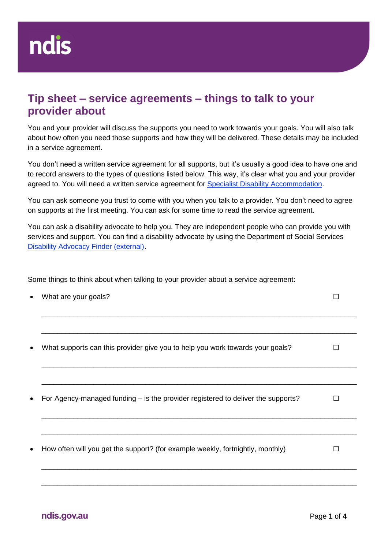## **Tip sheet – service agreements – things to talk to your provider about**

You and your provider will discuss the supports you need to work towards your goals. You will also talk about how often you need those supports and how they will be delivered. These details may be included in a service agreement.

You don't need a written service agreement for all supports, but it's usually a good idea to have one and to record answers to the types of questions listed below. This way, it's clear what you and your provider agreed to. You will need a written service agreement for [Specialist Disability Accommodation.](https://ourguidelines.ndis.gov.au/supports-you-can-access-menu/home-and-living-supports/specialist-disability-accommodation)

You can ask someone you trust to come with you when you talk to a provider. You don't need to agree on supports at the first meeting. You can ask for some time to read the service agreement.

You can ask a disability advocate to help you. They are independent people who can provide you with services and support. You can find a disability advocate by using the Department of Social Services [Disability Advocacy Finder \(external\).](https://disabilityadvocacyfinder.dss.gov.au/disability/ndap/)

Some things to think about when talking to your provider about a service agreement:

|           | What are your goals?                                                             |  |
|-----------|----------------------------------------------------------------------------------|--|
|           | What supports can this provider give you to help you work towards your goals?    |  |
|           |                                                                                  |  |
|           | For Agency-managed funding – is the provider registered to deliver the supports? |  |
| $\bullet$ | How often will you get the support? (for example weekly, fortnightly, monthly)   |  |
|           |                                                                                  |  |

\_\_\_\_\_\_\_\_\_\_\_\_\_\_\_\_\_\_\_\_\_\_\_\_\_\_\_\_\_\_\_\_\_\_\_\_\_\_\_\_\_\_\_\_\_\_\_\_\_\_\_\_\_\_\_\_\_\_\_\_\_\_\_\_\_\_\_\_\_\_\_\_\_\_\_\_\_\_\_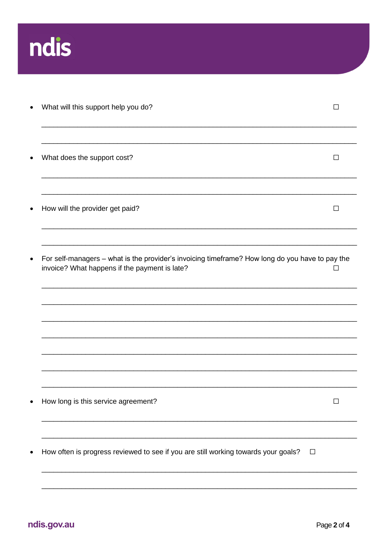

|           | What will this support help you do?                                                                                                              |        |
|-----------|--------------------------------------------------------------------------------------------------------------------------------------------------|--------|
| $\bullet$ | What does the support cost?                                                                                                                      | $\Box$ |
| $\bullet$ | How will the provider get paid?                                                                                                                  | $\Box$ |
|           | For self-managers - what is the provider's invoicing timeframe? How long do you have to pay the<br>invoice? What happens if the payment is late? | □      |
|           |                                                                                                                                                  |        |
|           |                                                                                                                                                  |        |
|           | How long is this service agreement?                                                                                                              | П      |
|           | How often is progress reviewed to see if you are still working towards your goals?<br>$\Box$                                                     |        |
|           |                                                                                                                                                  |        |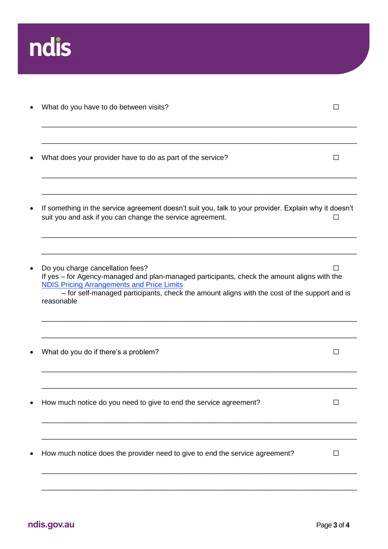

| What do you have to do between visits?                                                                                                                                                                                                                                                             |        |
|----------------------------------------------------------------------------------------------------------------------------------------------------------------------------------------------------------------------------------------------------------------------------------------------------|--------|
| What does your provider have to do as part of the service?                                                                                                                                                                                                                                         |        |
| If something in the service agreement doesn't suit you, talk to your provider. Explain why it doesn't<br>suit you and ask if you can change the service agreement.                                                                                                                                 |        |
| Do you charge cancellation fees?<br>If yes - for Agency-managed and plan-managed participants, check the amount aligns with the<br><b>NDIS Pricing Arrangements and Price Limits</b><br>- for self-managed participants, check the amount aligns with the cost of the support and is<br>reasonable |        |
| What do you do if there's a problem?                                                                                                                                                                                                                                                               | $\Box$ |
| How much notice do you need to give to end the service agreement?                                                                                                                                                                                                                                  |        |
| How much notice does the provider need to give to end the service agreement?                                                                                                                                                                                                                       | $\Box$ |
|                                                                                                                                                                                                                                                                                                    |        |